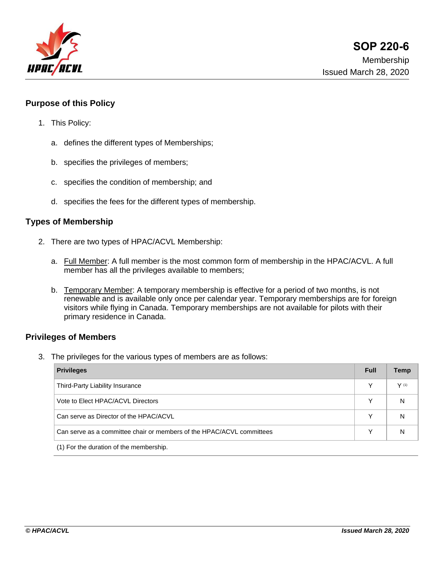

# **Purpose of this Policy**

- 1. This Policy:
	- a. defines the different types of Memberships;
	- b. specifies the privileges of members;
	- c. specifies the condition of membership; and
	- d. specifies the fees for the different types of membership.

## **Types of Membership**

- 2. There are two types of HPAC/ACVL Membership:
	- a. Full Member: A full member is the most common form of membership in the HPAC/ACVL. A full member has all the privileges available to members;
	- b. Temporary Member: A temporary membership is effective for a period of two months, is not renewable and is available only once per calendar year. Temporary memberships are for foreign visitors while flying in Canada. Temporary memberships are not available for pilots with their primary residence in Canada.

## **Privileges of Members**

3. The privileges for the various types of members are as follows:

| <b>Privileges</b>                                                     | <b>Full</b> | Temp    |
|-----------------------------------------------------------------------|-------------|---------|
| Third-Party Liability Insurance                                       | v           | $Y$ (1) |
| Vote to Elect HPAC/ACVL Directors                                     | v           | N       |
| Can serve as Director of the HPAC/ACVL                                | $\check{ }$ | N       |
| Can serve as a committee chair or members of the HPAC/ACVL committees |             | N       |
| (1) For the duration of the membership.                               |             |         |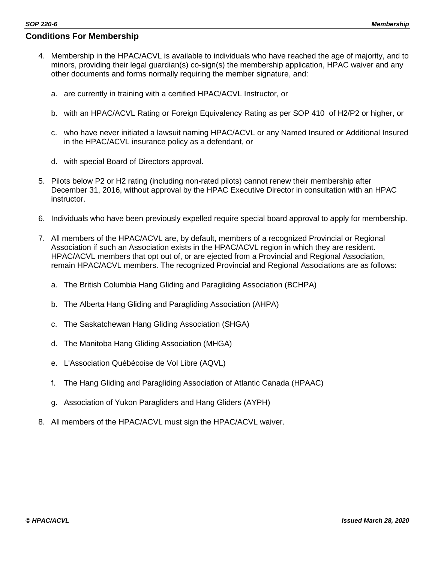#### **Conditions For Membership**

- 4. Membership in the HPAC/ACVL is available to individuals who have reached the age of majority, and to minors, providing their legal guardian(s) co-sign(s) the membership application, HPAC waiver and any other documents and forms normally requiring the member signature, and:
	- a. are currently in training with a certified HPAC/ACVL Instructor, or
	- b. with an HPAC/ACVL Rating or Foreign Equivalency Rating as per SOP 410 of H2/P2 or higher, or
	- c. who have never initiated a lawsuit naming HPAC/ACVL or any Named Insured or Additional Insured in the HPAC/ACVL insurance policy as a defendant, or
	- d. with special Board of Directors approval.
- 5. Pilots below P2 or H2 rating (including non-rated pilots) cannot renew their membership after December 31, 2016, without approval by the HPAC Executive Director in consultation with an HPAC instructor.
- 6. Individuals who have been previously expelled require special board approval to apply for membership.
- 7. All members of the HPAC/ACVL are, by default, members of a recognized Provincial or Regional Association if such an Association exists in the HPAC/ACVL region in which they are resident. HPAC/ACVL members that opt out of, or are ejected from a Provincial and Regional Association, remain HPAC/ACVL members. The recognized Provincial and Regional Associations are as follows:
	- a. The British Columbia Hang Gliding and Paragliding Association (BCHPA)
	- b. The Alberta Hang Gliding and Paragliding Association (AHPA)
	- c. The Saskatchewan Hang Gliding Association (SHGA)
	- d. The Manitoba Hang Gliding Association (MHGA)
	- e. L'Association Québécoise de Vol Libre (AQVL)
	- f. The Hang Gliding and Paragliding Association of Atlantic Canada (HPAAC)
	- g. Association of Yukon Paragliders and Hang Gliders (AYPH)
- 8. All members of the HPAC/ACVL must sign the HPAC/ACVL waiver.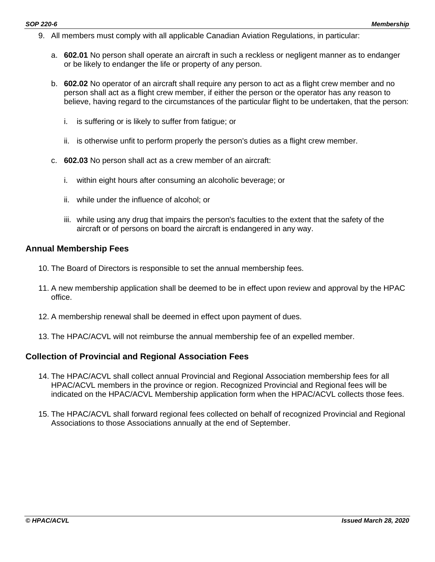- 9. All members must comply with all applicable Canadian Aviation Regulations, in particular:
	- a. **602.01** No person shall operate an aircraft in such a reckless or negligent manner as to endanger or be likely to endanger the life or property of any person.
	- b. **602.02** No operator of an aircraft shall require any person to act as a flight crew member and no person shall act as a flight crew member, if either the person or the operator has any reason to believe, having regard to the circumstances of the particular flight to be undertaken, that the person:
		- i. is suffering or is likely to suffer from fatigue; or
		- ii. is otherwise unfit to perform properly the person's duties as a flight crew member.
	- c. **602.03** No person shall act as a crew member of an aircraft:
		- i. within eight hours after consuming an alcoholic beverage; or
		- ii. while under the influence of alcohol; or
		- iii. while using any drug that impairs the person's faculties to the extent that the safety of the aircraft or of persons on board the aircraft is endangered in any way.

## **Annual Membership Fees**

- 10. The Board of Directors is responsible to set the annual membership fees.
- 11. A new membership application shall be deemed to be in effect upon review and approval by the HPAC office.
- 12. A membership renewal shall be deemed in effect upon payment of dues.
- 13. The HPAC/ACVL will not reimburse the annual membership fee of an expelled member.

## **Collection of Provincial and Regional Association Fees**

- 14. The HPAC/ACVL shall collect annual Provincial and Regional Association membership fees for all HPAC/ACVL members in the province or region. Recognized Provincial and Regional fees will be indicated on the HPAC/ACVL Membership application form when the HPAC/ACVL collects those fees.
- 15. The HPAC/ACVL shall forward regional fees collected on behalf of recognized Provincial and Regional Associations to those Associations annually at the end of September.